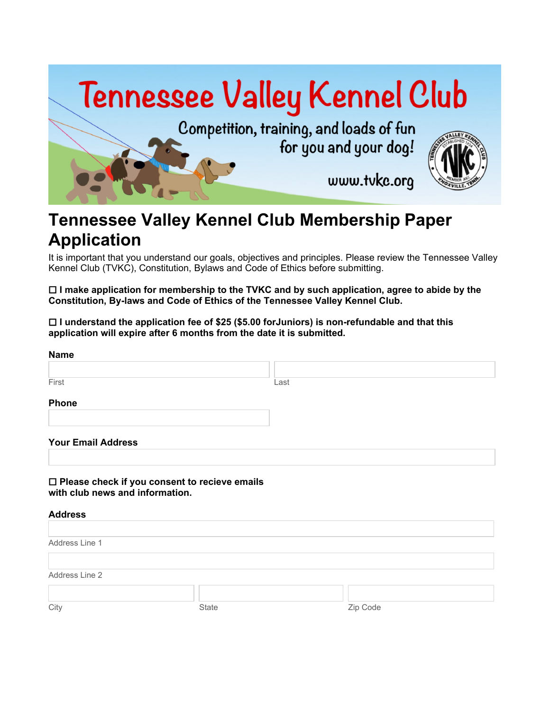

# **Tennessee Valley Kennel Club Membership Paper Application**

It is important that you understand our goals, objectives and principles. Please review the Tennessee Valley Kennel Club (TVKC), Constitution, Bylaws and Code of Ethics before submitting.

 **I make application for membership to the TVKC and by such application, agree to abide by the Constitution, By-laws and Code of Ethics of the Tennessee Valley Kennel Club.**

 **I understand the application fee of \$25 (\$5.00 forJuniors) is non-refundable and that this application will expire after 6 months from the date it is submitted.**

| <b>Name</b>                     |                                                 |          |  |
|---------------------------------|-------------------------------------------------|----------|--|
|                                 |                                                 |          |  |
| First                           | Last                                            |          |  |
| <b>Phone</b>                    |                                                 |          |  |
| <b>Your Email Address</b>       |                                                 |          |  |
|                                 |                                                 |          |  |
| with club news and information. | □ Please check if you consent to recieve emails |          |  |
| <b>Address</b>                  |                                                 |          |  |
| Address Line 1                  |                                                 |          |  |
| Address Line 2                  |                                                 |          |  |
|                                 |                                                 |          |  |
| City                            | State                                           | Zip Code |  |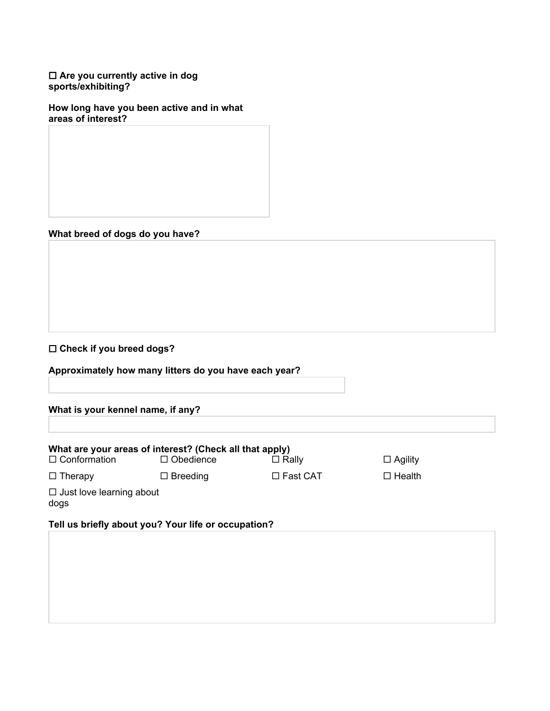#### **Are you currently active in dog sports/exhibiting?**

**How long have you been active and in what areas of interest?**

# **What breed of dogs do you have?**

## **Check if you breed dogs?**

|  |  | Approximately how many litters do you have each year? |
|--|--|-------------------------------------------------------|
|  |  |                                                       |

### **What is your kennel name, if any?**

|                                         | What are your areas of interest? (Check all that apply) |                    |                |  |
|-----------------------------------------|---------------------------------------------------------|--------------------|----------------|--|
| $\Box$ Conformation                     | $\Box$ Obedience                                        | $\Box$ Rally       | $\Box$ Agility |  |
| $\Box$ Therapy                          | $\Box$ Breeding                                         | $\square$ Fast CAT | $\Box$ Health  |  |
| $\Box$ Just love learning about<br>dogs |                                                         |                    |                |  |
|                                         | Tell us briefly about you? Your life or occupation?     |                    |                |  |
|                                         |                                                         |                    |                |  |
|                                         |                                                         |                    |                |  |